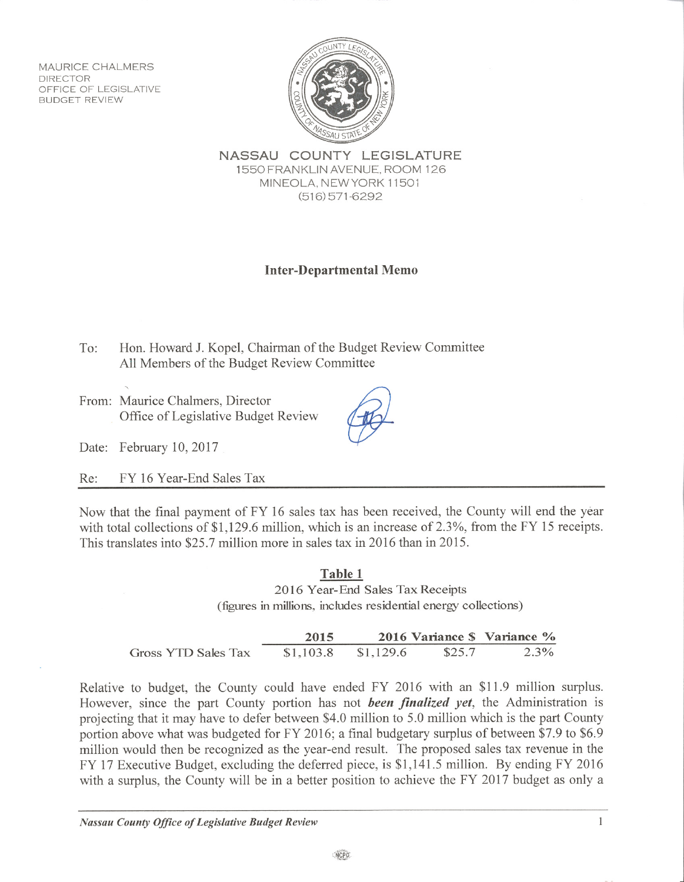MAURICE CHALMERS **DIRECTOR** OFFICE OF LEGISLATIVE **BUDGET REVIEW** 



NASSAU COUNTY LEGISLATURE 1550 FRANKLIN AVENUE, ROOM 126 MINEOLA, NEW YORK 11501  $(516)$  571-6292

# **Inter-Departmental Memo**

Hon. Howard J. Kopel, Chairman of the Budget Review Committee To: All Members of the Budget Review Committee

From: Maurice Chalmers, Director Office of Legislative Budget Review



Date: February 10, 2017

FY 16 Year-End Sales Tax Re:

Now that the final payment of FY 16 sales tax has been received, the County will end the year with total collections of \$1,129.6 million, which is an increase of 2.3%, from the FY 15 receipts. This translates into \$25.7 million more in sales tax in 2016 than in 2015.

#### Table 1 2016 Year-End Sales Tax Receipts (figures in millions, includes residential energy collections)

|                     | 2015      |           |        | 2016 Variance \$ Variance % |
|---------------------|-----------|-----------|--------|-----------------------------|
| Gross YTD Sales Tax | \$1,103.8 | \$1,129.6 | \$25.7 | $2.3\%$                     |

Relative to budget, the County could have ended FY 2016 with an \$11.9 million surplus. However, since the part County portion has not been finalized yet, the Administration is projecting that it may have to defer between \$4.0 million to 5.0 million which is the part County portion above what was budgeted for FY 2016; a final budgetary surplus of between \$7.9 to \$6.9 million would then be recognized as the year-end result. The proposed sales tax revenue in the FY 17 Executive Budget, excluding the deferred piece, is \$1,141.5 million. By ending FY 2016 with a surplus, the County will be in a better position to achieve the FY 2017 budget as only a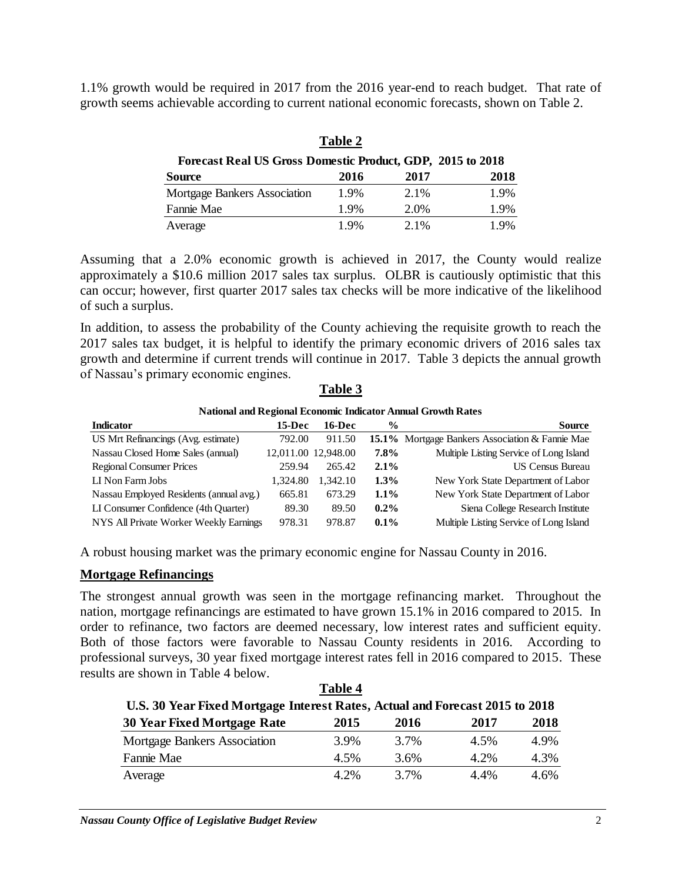1.1% growth would be required in 2017 from the 2016 year-end to reach budget. That rate of growth seems achievable according to current national economic forecasts, shown on Table 2.

|                                                            | <b>Table 2</b> |      |      |
|------------------------------------------------------------|----------------|------|------|
| Forecast Real US Gross Domestic Product, GDP, 2015 to 2018 |                |      |      |
| <b>Source</b>                                              | 2016           | 2017 | 2018 |
| <b>Mortgage Bankers Association</b>                        | 1.9%           | 2.1% | 1.9% |
| Fannie Mae                                                 | 1.9%           | 2.0% | 1.9% |
| Average                                                    | 1.9%           | 2.1% | 1.9% |

Assuming that a 2.0% economic growth is achieved in 2017, the County would realize approximately a \$10.6 million 2017 sales tax surplus. OLBR is cautiously optimistic that this can occur; however, first quarter 2017 sales tax checks will be more indicative of the likelihood of such a surplus.

In addition, to assess the probability of the County achieving the requisite growth to reach the 2017 sales tax budget, it is helpful to identify the primary economic drivers of 2016 sales tax growth and determine if current trends will continue in 2017. Table 3 depicts the annual growth of Nassau's primary economic engines.

|                                         |          |                     |               | <b>National and Regional Economic Indicator Annual Growth Rates</b> |
|-----------------------------------------|----------|---------------------|---------------|---------------------------------------------------------------------|
| <b>Indicator</b>                        | 15-Dec   | 16-Dec              | $\frac{6}{9}$ | <b>Source</b>                                                       |
| US Mrt Refinancings (Avg. estimate)     | 792.00   | 911.50              |               | 15.1% Mortgage Bankers Association & Fannie Mae                     |
| Nassau Closed Home Sales (annual)       |          | 12,011.00 12,948.00 | 7.8%          | Multiple Listing Service of Long Island                             |
| <b>Regional Consumer Prices</b>         | 259.94   | 265.42              | 2.1%          | <b>US Census Bureau</b>                                             |
| LI Non Farm Jobs                        | 1.324.80 | 1.342.10            | $1.3\%$       | New York State Department of Labor                                  |
| Nassau Employed Residents (annual avg.) | 665.81   | 673.29              | $1.1\%$       | New York State Department of Labor                                  |
| LI Consumer Confidence (4th Quarter)    | 89.30    | 89.50               | $0.2\%$       | Siena College Research Institute                                    |
| NYS All Private Worker Weekly Earnings  | 978.31   | 978.87              | $0.1\%$       | Multiple Listing Service of Long Island                             |

### **Table 3**

A robust housing market was the primary economic engine for Nassau County in 2016.

### **Mortgage Refinancings**

The strongest annual growth was seen in the mortgage refinancing market. Throughout the nation, mortgage refinancings are estimated to have grown 15.1% in 2016 compared to 2015. In order to refinance, two factors are deemed necessary, low interest rates and sufficient equity. Both of those factors were favorable to Nassau County residents in 2016. According to professional surveys, 30 year fixed mortgage interest rates fell in 2016 compared to 2015. These results are shown in Table 4 below.

|                                                                              | Table 4 |         |         |      |
|------------------------------------------------------------------------------|---------|---------|---------|------|
| U.S. 30 Year Fixed Mortgage Interest Rates, Actual and Forecast 2015 to 2018 |         |         |         |      |
| <b>30 Year Fixed Mortgage Rate</b>                                           | 2015    | 2016    | 2017    | 2018 |
| <b>Mortgage Bankers Association</b>                                          | 3.9%    | 3.7%    | 4.5%    | 4.9% |
| Fannie Mae                                                                   | 4.5%    | $3.6\%$ | 4.2%    | 4.3% |
| Average                                                                      | 4.2%    | 3.7%    | $4.4\%$ | 4.6% |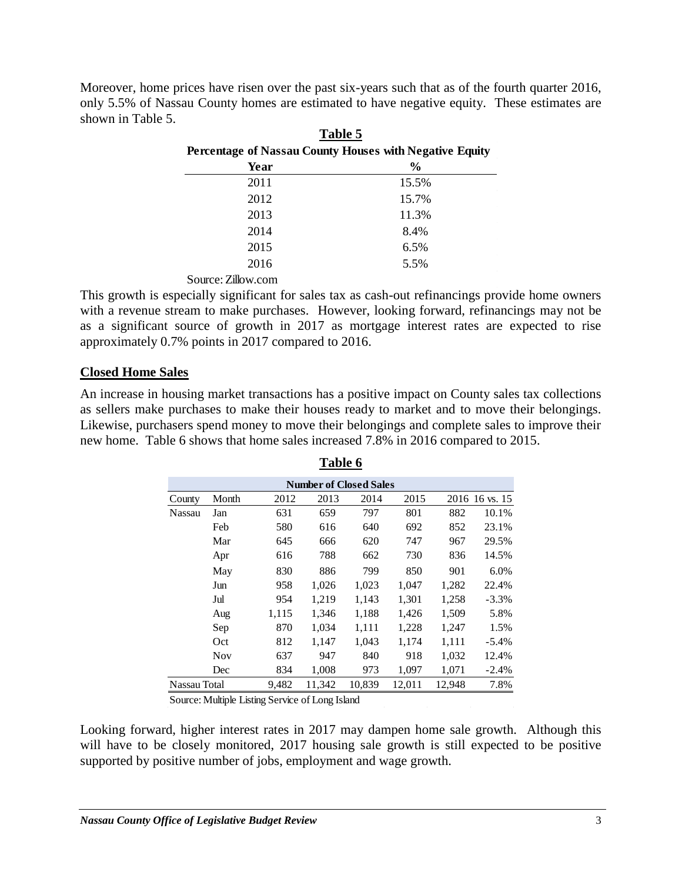Moreover, home prices have risen over the past six-years such that as of the fourth quarter 2016, only 5.5% of Nassau County homes are estimated to have negative equity. These estimates are shown in Table 5. **Table 5**

|                                                         | 1 apie 5      |
|---------------------------------------------------------|---------------|
| Percentage of Nassau County Houses with Negative Equity |               |
| Year                                                    | $\frac{6}{9}$ |
| 2011                                                    | 15.5%         |
| 2012                                                    | 15.7%         |
| 2013                                                    | 11.3%         |
| 2014                                                    | 8.4%          |
| 2015                                                    | 6.5%          |
| 2016                                                    | 5.5%          |
|                                                         |               |

Source: Zillow.com

This growth is especially significant for sales tax as cash-out refinancings provide home owners with a revenue stream to make purchases. However, looking forward, refinancings may not be as a significant source of growth in 2017 as mortgage interest rates are expected to rise approximately 0.7% points in 2017 compared to 2016.

## **Closed Home Sales**

An increase in housing market transactions has a positive impact on County sales tax collections as sellers make purchases to make their houses ready to market and to move their belongings. Likewise, purchasers spend money to move their belongings and complete sales to improve their new home. Table 6 shows that home sales increased 7.8% in 2016 compared to 2015.

| <b>Number of Closed Sales</b> |            |       |        |        |        |        |                |
|-------------------------------|------------|-------|--------|--------|--------|--------|----------------|
| County                        | Month      | 2012  | 2013   | 2014   | 2015   |        | 2016 16 vs. 15 |
| Nassau                        | Jan        | 631   | 659    | 797    | 801    | 882    | 10.1%          |
|                               | Feb        | 580   | 616    | 640    | 692    | 852    | 23.1%          |
|                               | Mar        | 645   | 666    | 620    | 747    | 967    | 29.5%          |
|                               | Apr        | 616   | 788    | 662    | 730    | 836    | 14.5%          |
|                               | May        | 830   | 886    | 799    | 850    | 901    | 6.0%           |
|                               | Jun        | 958   | 1,026  | 1,023  | 1,047  | 1,282  | 22.4%          |
|                               | Jul        | 954   | 1,219  | 1,143  | 1,301  | 1,258  | $-3.3%$        |
|                               | Aug        | 1,115 | 1,346  | 1,188  | 1,426  | 1,509  | 5.8%           |
|                               | Sep        | 870   | 1,034  | 1,111  | 1,228  | 1,247  | 1.5%           |
|                               | Oct        | 812   | 1,147  | 1,043  | 1,174  | 1,111  | $-5.4\%$       |
|                               | <b>Nov</b> | 637   | 947    | 840    | 918    | 1,032  | 12.4%          |
|                               | Dec        | 834   | 1,008  | 973    | 1,097  | 1,071  | $-2.4%$        |
| Nassau Total                  |            | 9,482 | 11,342 | 10,839 | 12,011 | 12,948 | 7.8%           |

**Table 6**

Source: Multiple Listing Service of Long Island

Looking forward, higher interest rates in 2017 may dampen home sale growth. Although this will have to be closely monitored, 2017 housing sale growth is still expected to be positive supported by positive number of jobs, employment and wage growth.